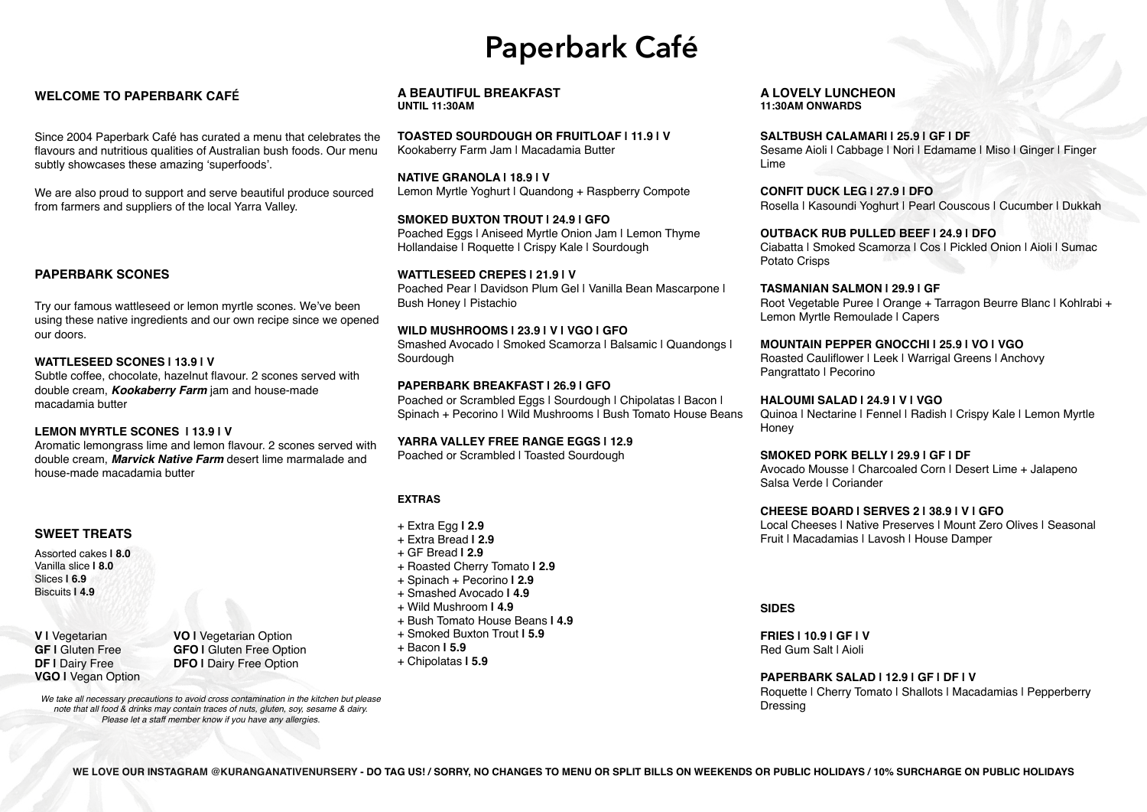### **WELCOME TO PAPERBARK CAFÉ**

Since 2004 Paperbark Café has curated a menu that celebrates the flavours and nutritious qualities of Australian bush foods. Our menu subtly showcases these amazing 'superfoods'.

> **SMOKED BUXTON TROUT | 24.9 | GFO**  Poached Eggs | Aniseed Myrtle Onion Jam | Lemon Thyme Hollandaise | Roquette | Crispy Kale | Sourdough

We are also proud to support and serve beautiful produce sourced from farmers and suppliers of the local Yarra Valley.

**TOASTED SOURDOUGH OR FRUITLOAF | 11.9 | V**  Kookaberry Farm Jam | Macadamia Butter

**WILD MUSHROOMS | 23.9 | V | VGO | GFO** Smashed Avocado | Smoked Scamorza | Balsamic | Quandongs | **Sourdough** 

**PAPERBARK BREAKFAST | 26.9 | GFO** Poached or Scrambled Eggs | Sourdough | Chipolatas | Bacon | Spinach + Pecorino | Wild Mushrooms | Bush Tomato House Beans

**NATIVE GRANOLA | 18.9 | V**  Lemon Myrtle Yoghurt | Quandong + Raspberry Compote

**WATTLESEED CREPES | 21.9 | V**  Poached Pear | Davidson Plum Gel | Vanilla Bean Mascarpone | Bush Honey | Pistachio

> **HALOUMI SALAD | 24.9 | V | VGO Honey**

**YARRA VALLEY FREE RANGE EGGS | 12.9**

Poached or Scrambled | Toasted Sourdough

#### **SALTBUSH CALAMARI | 25.9 | GF | DF**

Sesame Aioli | Cabbage | Nori | Edamame | Miso | Ginger | Finger

Lime

**CONFIT DUCK LEG | 27.9 | DFO**

Rosella | Kasoundi Yoghurt | Pearl Couscous | Cucumber | Dukkah

#### **OUTBACK RUB PULLED BEEF | 24.9 | DFO**

Ciabatta | Smoked Scamorza | Cos | Pickled Onion | Aioli | Sumac

Potato Crisps

**TASMANIAN SALMON | 29.9 | GF**  Root Vegetable Puree | Orange + Tarragon Beurre Blanc | Kohlrabi + Lemon Myrtle Remoulade | Capers

Pangrattato | Pecorino

#### **MOUNTAIN PEPPER GNOCCHI | 25.9 | VO | VGO**

Roasted Cauliflower | Leek | Warrigal Greens | Anchovy

Quinoa | Nectarine | Fennel | Radish | Crispy Kale | Lemon Myrtle

**SMOKED PORK BELLY | 29.9 | GF | DF** Avocado Mousse | Charcoaled Corn | Desert Lime + Jalapeno Salsa Verde | Coriander

#### **CHEESE BOARD | SERVES 2 | 38.9 | V | GFO**

Local Cheeses | Native Preserves | Mount Zero Olives | Seasonal Fruit | Macadamias | Lavosh | House Damper

**SIDES**

**FRIES | 10.9 | GF | V** Red Gum Salt | Aioli

# **PAPERBARK SALAD | 12.9 | GF | DF | V**

Roquette | Cherry Tomato | Shallots | Macadamias | Pepperberry

Dressing

#### **EXTRAS**

- + Extra Egg **| 2.9**
- + Extra Bread **| 2.9**
- + GF Bread **| 2.9**
- + Roasted Cherry Tomato **| 2.9**
- + Spinach + Pecorino **| 2.9**
- + Smashed Avocado **| 4.9**
- + Wild Mushroom **| 4.9**
- + Bush Tomato House Beans **| 4.9**
- + Smoked Buxton Trout **| 5.9**
- + Bacon **| 5.9**
- + Chipolatas **| 5.9**

# **Paperbark Café**

**A BEAUTIFUL BREAKFAST UNTIL 11:30AM**

**A LOVELY LUNCHEON 11:30AM ONWARDS**

#### **PAPERBARK SCONES**

Try our famous wattleseed or lemon myrtle scones. We've been using these native ingredients and our own recipe since we opened our doors.

#### **WATTLESEED SCONES | 13.9 | V**

Subtle coffee, chocolate, hazelnut flavour. 2 scones served with double cream, *Kookaberry Farm* jam and house-made macadamia butter

#### **LEMON MYRTLE SCONES | 13.9 | V**

Aromatic lemongrass lime and lemon flavour. 2 scones served with double cream, *Marvick Native Farm* desert lime marmalade and house-made macadamia butter

### **SWEET TREATS**

Assorted cakes **| 8.0** Vanilla slice **| 8.0** Slices **| 6.9** Biscuits **| 4.9**

**VGO |** Vegan Option

**V | Vegetarian**<br>**GF | Gluten Free CEO | Gluten Free Option GF I** Gluten Free **GFO I** Gluten Free Option<br> **DF I** Dairy Free **DFO I** Dairy Free Option **DFO I** Dairy Free Option

*We take all necessary precautions to avoid cross contamination in the kitchen but please note that all food & drinks may contain traces of nuts, gluten, soy, sesame & dairy. Please let a staff member know if you have any allergies.*